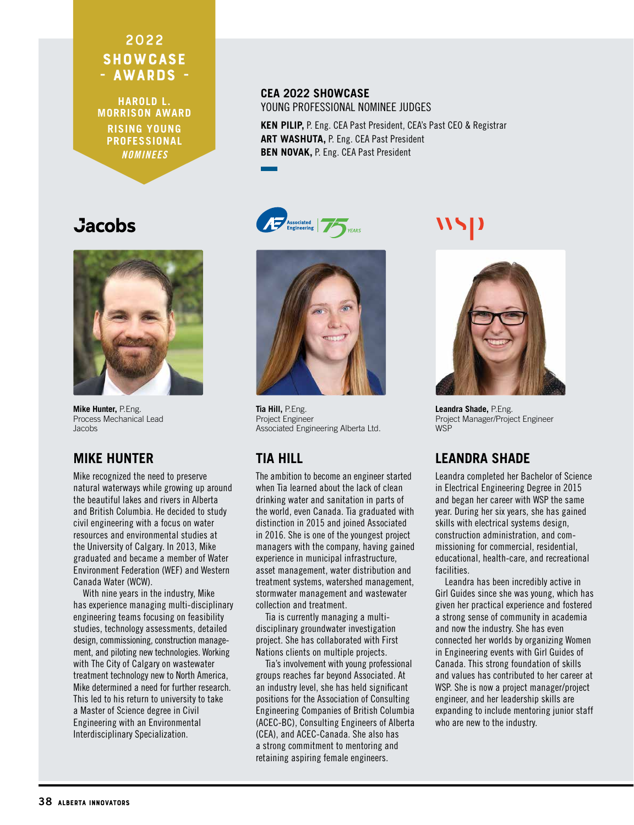## 2022 **SHOWCASE** - AWARDS -

**HAROLD L. MORRISON AWARD RISING YOUNG PROFESSIONAL** *NOMINEES*

#### **CEA 2022 SHOWCASE** YOUNG PROFESSIONAL NOMINEE JUDGES

YFARS

**KEN PILIP,** P. Eng. CEA Past President, CEA's Past CEO & Registrar **ART WASHUTA,** P. Eng. CEA Past President **BEN NOVAK,** P. Eng. CEA Past President

# **Jacobs**



**Mike Hunter,** P.Eng. Process Mechanical Lead Jacobs

### **MIKE HUNTER**

Mike recognized the need to preserve natural waterways while growing up around the beautiful lakes and rivers in Alberta and British Columbia. He decided to study civil engineering with a focus on water resources and environmental studies at the University of Calgary. In 2013, Mike graduated and became a member of Water Environment Federation (WEF) and Western Canada Water (WCW).

With nine years in the industry, Mike has experience managing multi-disciplinary engineering teams focusing on feasibility studies, technology assessments, detailed design, commissioning, construction management, and piloting new technologies. Working with The City of Calgary on wastewater treatment technology new to North America, Mike determined a need for further research. This led to his return to university to take a Master of Science degree in Civil Engineering with an Environmental Interdisciplinary Specialization.



Associated<br>Engineering

**Tia Hill,** P.Eng. Project Engineer Associated Engineering Alberta Ltd.

# **TIA HILL**

The ambition to become an engineer started when Tia learned about the lack of clean drinking water and sanitation in parts of the world, even Canada. Tia graduated with distinction in 2015 and joined Associated in 2016. She is one of the youngest project managers with the company, having gained experience in municipal infrastructure, asset management, water distribution and treatment systems, watershed management, stormwater management and wastewater collection and treatment.

Tia is currently managing a multidisciplinary groundwater investigation project. She has collaborated with First Nations clients on multiple projects.

Tia's involvement with young professional groups reaches far beyond Associated. At an industry level, she has held significant positions for the Association of Consulting Engineering Companies of British Columbia (ACEC-BC), Consulting Engineers of Alberta (CEA), and ACEC-Canada. She also has a strong commitment to mentoring and retaining aspiring female engineers.



**Leandra Shade,** P.Eng. Project Manager/Project Engineer **WSP** 

# **LEANDRA SHADE**

Leandra completed her Bachelor of Science in Electrical Engineering Degree in 2015 and began her career with WSP the same year. During her six years, she has gained skills with electrical systems design, construction administration, and commissioning for commercial, residential, educational, health-care, and recreational facilities.

Leandra has been incredibly active in Girl Guides since she was young, which has given her practical experience and fostered a strong sense of community in academia and now the industry. She has even connected her worlds by organizing Women in Engineering events with Girl Guides of Canada. This strong foundation of skills and values has contributed to her career at WSP. She is now a project manager/project engineer, and her leadership skills are expanding to include mentoring junior staff who are new to the industry.